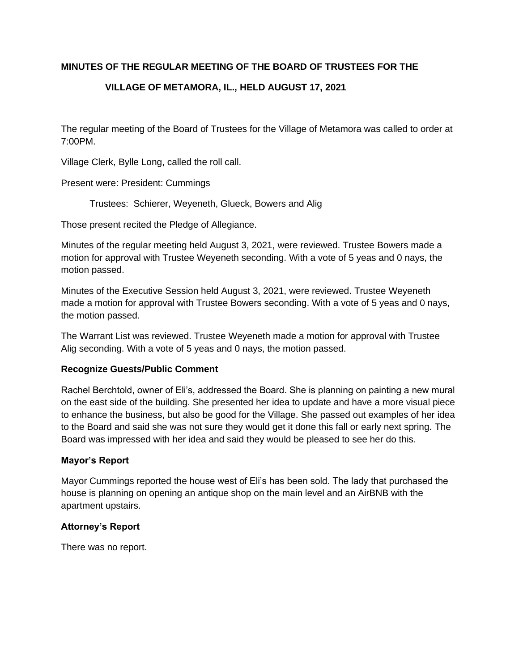## **MINUTES OF THE REGULAR MEETING OF THE BOARD OF TRUSTEES FOR THE**

# **VILLAGE OF METAMORA, IL., HELD AUGUST 17, 2021**

The regular meeting of the Board of Trustees for the Village of Metamora was called to order at 7:00PM.

Village Clerk, Bylle Long, called the roll call.

Present were: President: Cummings

Trustees: Schierer, Weyeneth, Glueck, Bowers and Alig

Those present recited the Pledge of Allegiance.

Minutes of the regular meeting held August 3, 2021, were reviewed. Trustee Bowers made a motion for approval with Trustee Weyeneth seconding. With a vote of 5 yeas and 0 nays, the motion passed.

Minutes of the Executive Session held August 3, 2021, were reviewed. Trustee Weyeneth made a motion for approval with Trustee Bowers seconding. With a vote of 5 yeas and 0 nays, the motion passed.

The Warrant List was reviewed. Trustee Weyeneth made a motion for approval with Trustee Alig seconding. With a vote of 5 yeas and 0 nays, the motion passed.

#### **Recognize Guests/Public Comment**

Rachel Berchtold, owner of Eli's, addressed the Board. She is planning on painting a new mural on the east side of the building. She presented her idea to update and have a more visual piece to enhance the business, but also be good for the Village. She passed out examples of her idea to the Board and said she was not sure they would get it done this fall or early next spring. The Board was impressed with her idea and said they would be pleased to see her do this.

### **Mayor's Report**

Mayor Cummings reported the house west of Eli's has been sold. The lady that purchased the house is planning on opening an antique shop on the main level and an AirBNB with the apartment upstairs.

### **Attorney's Report**

There was no report.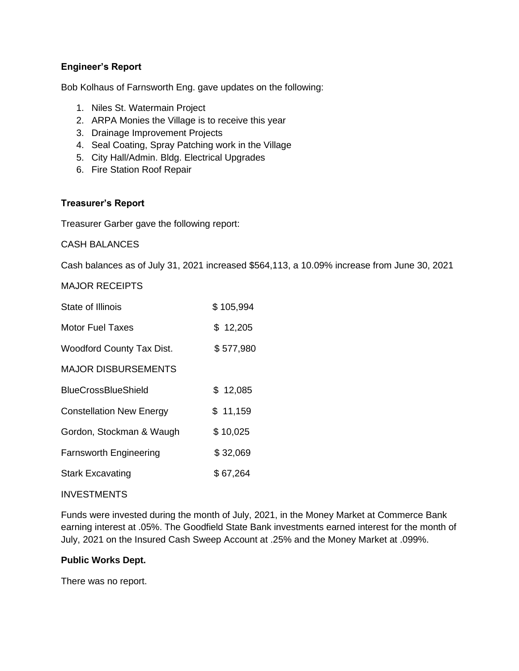## **Engineer's Report**

Bob Kolhaus of Farnsworth Eng. gave updates on the following:

- 1. Niles St. Watermain Project
- 2. ARPA Monies the Village is to receive this year
- 3. Drainage Improvement Projects
- 4. Seal Coating, Spray Patching work in the Village
- 5. City Hall/Admin. Bldg. Electrical Upgrades
- 6. Fire Station Roof Repair

### **Treasurer's Report**

Treasurer Garber gave the following report:

CASH BALANCES

Cash balances as of July 31, 2021 increased \$564,113, a 10.09% increase from June 30, 2021

### MAJOR RECEIPTS

| State of Illinois                | \$105,994 |
|----------------------------------|-----------|
| <b>Motor Fuel Taxes</b>          | \$12,205  |
| <b>Woodford County Tax Dist.</b> | \$577,980 |
| <b>MAJOR DISBURSEMENTS</b>       |           |
| <b>BlueCrossBlueShield</b>       | \$12,085  |
| <b>Constellation New Energy</b>  | \$11,159  |
| Gordon, Stockman & Waugh         | \$10,025  |
| <b>Farnsworth Engineering</b>    | \$32,069  |
| <b>Stark Excavating</b>          | \$67,264  |

#### INVESTMENTS

Funds were invested during the month of July, 2021, in the Money Market at Commerce Bank earning interest at .05%. The Goodfield State Bank investments earned interest for the month of July, 2021 on the Insured Cash Sweep Account at .25% and the Money Market at .099%.

#### **Public Works Dept.**

There was no report.